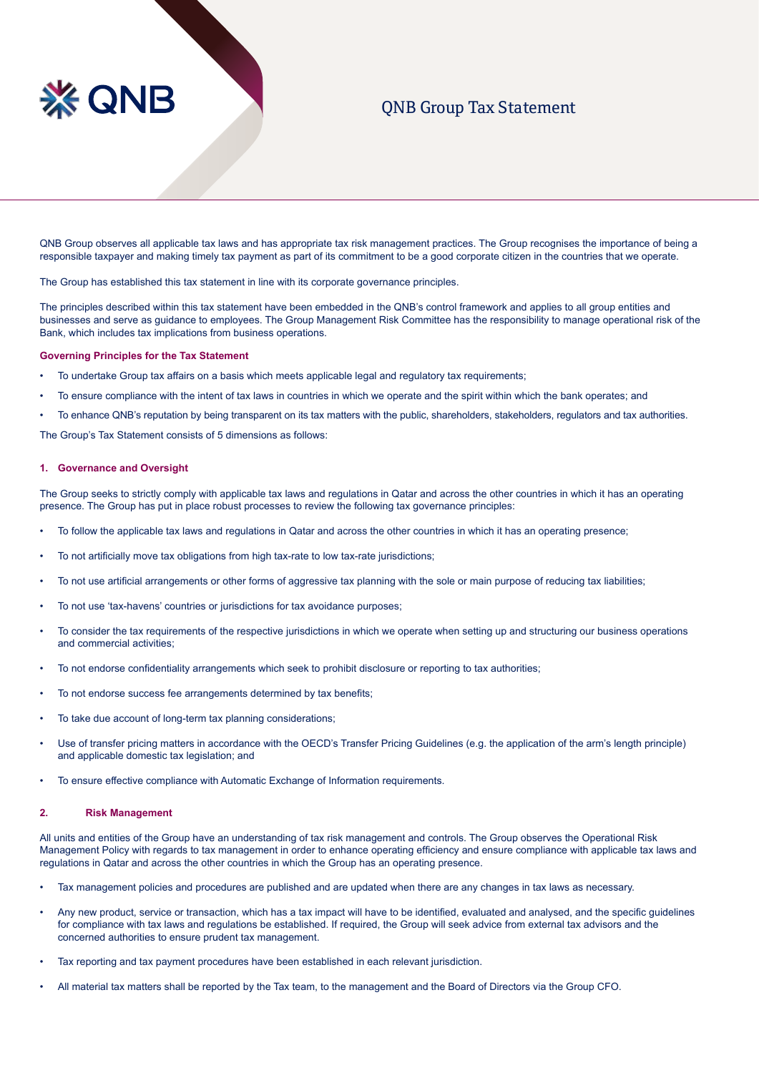# **QNB**

# QNB Group Tax Statement

QNB Group observes all applicable tax laws and has appropriate tax risk management practices. The Group recognises the importance of being a responsible taxpayer and making timely tax payment as part of its commitment to be a good corporate citizen in the countries that we operate.

The Group has established this tax statement in line with its corporate governance principles.

The principles described within this tax statement have been embedded in the QNB's control framework and applies to all group entities and businesses and serve as guidance to employees. The Group Management Risk Committee has the responsibility to manage operational risk of the Bank, which includes tax implications from business operations.

#### **Governing Principles for the Tax Statement**

- To undertake Group tax affairs on a basis which meets applicable legal and regulatory tax requirements;
- To ensure compliance with the intent of tax laws in countries in which we operate and the spirit within which the bank operates; and
- To enhance QNB's reputation by being transparent on its tax matters with the public, shareholders, stakeholders, regulators and tax authorities.

The Group's Tax Statement consists of 5 dimensions as follows:

### **1. Governance and Oversight**

The Group seeks to strictly comply with applicable tax laws and regulations in Qatar and across the other countries in which it has an operating presence. The Group has put in place robust processes to review the following tax governance principles:

- To follow the applicable tax laws and regulations in Qatar and across the other countries in which it has an operating presence;
- To not artificially move tax obligations from high tax-rate to low tax-rate jurisdictions;
- To not use artificial arrangements or other forms of aggressive tax planning with the sole or main purpose of reducing tax liabilities;
- To not use 'tax-havens' countries or jurisdictions for tax avoidance purposes;
- To consider the tax requirements of the respective jurisdictions in which we operate when setting up and structuring our business operations and commercial activities;
- To not endorse confidentiality arrangements which seek to prohibit disclosure or reporting to tax authorities;
- To not endorse success fee arrangements determined by tax benefits;
- To take due account of long-term tax planning considerations;
- Use of transfer pricing matters in accordance with the OECD's Transfer Pricing Guidelines (e.g. the application of the arm's length principle) and applicable domestic tax legislation; and
- To ensure effective compliance with Automatic Exchange of Information requirements.

### **2. Risk Management**

All units and entities of the Group have an understanding of tax risk management and controls. The Group observes the Operational Risk Management Policy with regards to tax management in order to enhance operating efficiency and ensure compliance with applicable tax laws and regulations in Qatar and across the other countries in which the Group has an operating presence.

- Tax management policies and procedures are published and are updated when there are any changes in tax laws as necessary.
- Any new product, service or transaction, which has a tax impact will have to be identified, evaluated and analysed, and the specific quidelines for compliance with tax laws and regulations be established. If required, the Group will seek advice from external tax advisors and the concerned authorities to ensure prudent tax management.
- Tax reporting and tax payment procedures have been established in each relevant jurisdiction.
- All material tax matters shall be reported by the Tax team, to the management and the Board of Directors via the Group CFO.